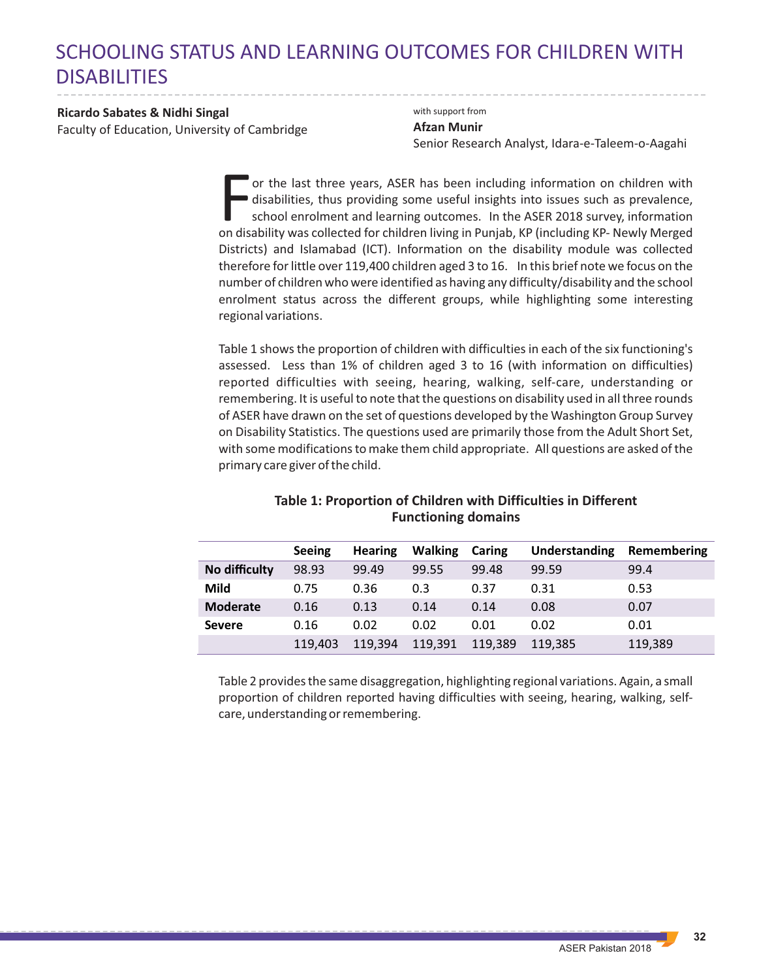# SCHOOLING STATUS AND LEARNING OUTCOMES FOR CHILDREN WITH DISABILITIES

**Ricardo Sabates & Nidhi Singal** Faculty of Education, University of Cambridge with support from **Afzan Munir** Senior Research Analyst, Idara-e-Taleem-o-Aagahi

or the last three years, ASER has been including information on children with  $\cdot$  disabilities, thus providing some useful insights into issues such as prevalence, school enrolment and learning outcomes. In the ASER 2018 survey, information on disability was collected for children living in Punjab, KP (including KP- Newly Merged Districts) and Islamabad (ICT). Information on the disability module was collected therefore for little over 119,400 children aged 3 to 16. In this brief note we focus on the number of children who were identified as having any difficulty/disability and the school enrolment status across the different groups, while highlighting some interesting regional variations.

Table 1 shows the proportion of children with difficulties in each of the six functioning's assessed. Less than 1% of children aged 3 to 16 (with information on difficulties) reported difficulties with seeing, hearing, walking, self-care, understanding or remembering. It is useful to note that the questions on disability used in all three rounds of ASER have drawn on the set of questions developed by the Washington Group Survey on Disability Statistics. The questions used are primarily those from the Adult Short Set, with some modifications to make them child appropriate. All questions are asked of the primary care giver of the child.

|                 | <b>Seeing</b> | <b>Hearing</b> | <b>Walking</b> | Caring  | Understanding | Remembering |
|-----------------|---------------|----------------|----------------|---------|---------------|-------------|
| No difficulty   | 98.93         | 99.49          | 99.55          | 99.48   | 99.59         | 99.4        |
| Mild            | 0.75          | 0.36           | 0.3            | 0.37    | 0.31          | 0.53        |
| <b>Moderate</b> | 0.16          | 0.13           | 0.14           | 0.14    | 0.08          | 0.07        |
| <b>Severe</b>   | 0.16          | 0.02           | 0.02           | 0.01    | 0.02          | 0.01        |
|                 | 119,403       | 119.394        | 119,391        | 119,389 | 119.385       | 119,389     |

# **Table 1: Proportion of Children with Difficulties in Different Functioning domains**

Table 2 provides the same disaggregation, highlighting regional variations. Again, a small proportion of children reported having difficulties with seeing, hearing, walking, selfcare, understanding or remembering.

**32**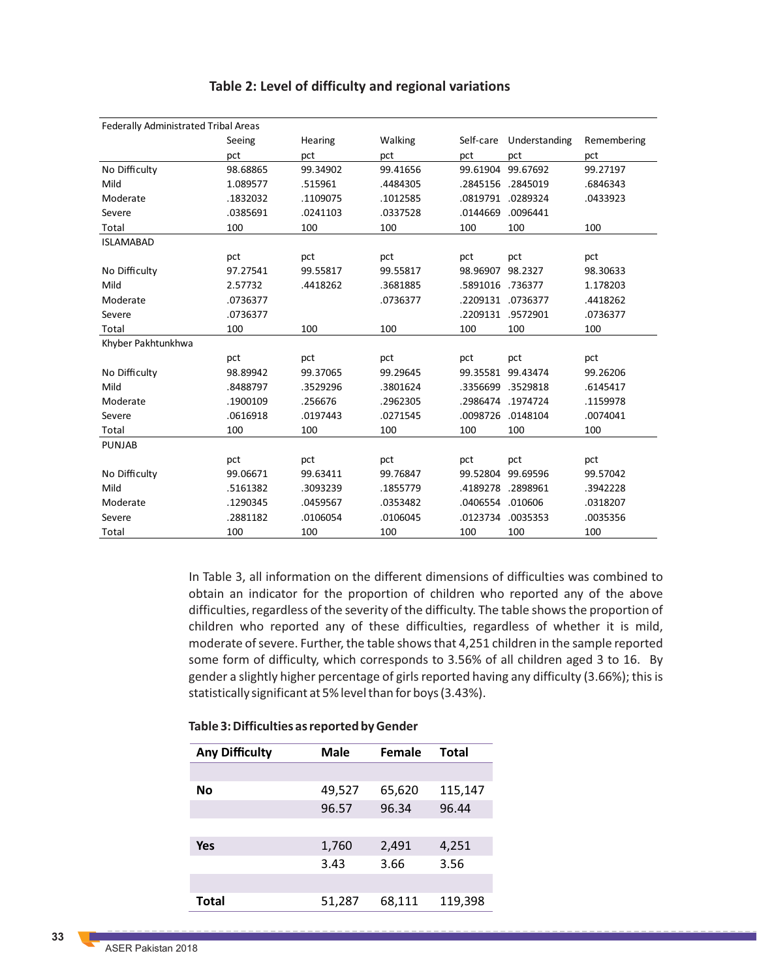| <b>Federally Administrated Tribal Areas</b> |          |          |          |           |                   |             |  |  |
|---------------------------------------------|----------|----------|----------|-----------|-------------------|-------------|--|--|
|                                             | Seeing   | Hearing  | Walking  | Self-care | Understanding     | Remembering |  |  |
|                                             | pct      | pct      | pct      | pct       | pct               | pct         |  |  |
| No Difficulty                               | 98.68865 | 99.34902 | 99.41656 | 99.61904  | 99.67692          | 99.27197    |  |  |
| Mild                                        | 1.089577 | .515961  | .4484305 | .2845156  | .2845019          | .6846343    |  |  |
| Moderate                                    | .1832032 | .1109075 | .1012585 | .0819791  | .0289324          | .0433923    |  |  |
| Severe                                      | .0385691 | .0241103 | .0337528 | .0144669  | .0096441          |             |  |  |
| Total                                       | 100      | 100      | 100      | 100       | 100               | 100         |  |  |
| <b>ISLAMABAD</b>                            |          |          |          |           |                   |             |  |  |
|                                             | pct      | pct      | pct      | pct       | pct               | pct         |  |  |
| No Difficulty                               | 97.27541 | 99.55817 | 99.55817 | 98.96907  | 98.2327           | 98.30633    |  |  |
| Mild                                        | 2.57732  | .4418262 | .3681885 | .5891016  | .736377           | 1.178203    |  |  |
| Moderate                                    | .0736377 |          | .0736377 | .2209131  | .0736377          | .4418262    |  |  |
| Severe                                      | .0736377 |          |          |           | .2209131 .9572901 | .0736377    |  |  |
| Total                                       | 100      | 100      | 100      | 100       | 100               | 100         |  |  |
| Khyber Pakhtunkhwa                          |          |          |          |           |                   |             |  |  |
|                                             | pct      | pct      | pct      | pct       | pct               | pct         |  |  |
| No Difficulty                               | 98.89942 | 99.37065 | 99.29645 | 99.35581  | 99.43474          | 99.26206    |  |  |
| Mild                                        | .8488797 | .3529296 | .3801624 | .3356699  | .3529818          | .6145417    |  |  |
| Moderate                                    | .1900109 | .256676  | .2962305 | .2986474  | .1974724          | .1159978    |  |  |
| Severe                                      | .0616918 | .0197443 | .0271545 | .0098726  | .0148104          | .0074041    |  |  |
| Total                                       | 100      | 100      | 100      | 100       | 100               | 100         |  |  |
| <b>PUNJAB</b>                               |          |          |          |           |                   |             |  |  |
|                                             | pct      | pct      | pct      | pct       | pct               | pct         |  |  |
| No Difficulty                               | 99.06671 | 99.63411 | 99.76847 | 99.52804  | 99.69596          | 99.57042    |  |  |
| Mild                                        | .5161382 | .3093239 | .1855779 | .4189278  | .2898961          | .3942228    |  |  |
| Moderate                                    | .1290345 | .0459567 | .0353482 | .0406554  | .010606           | .0318207    |  |  |
| Severe                                      | .2881182 | .0106054 | .0106045 | .0123734  | .0035353          | .0035356    |  |  |
| Total                                       | 100      | 100      | 100      | 100       | 100               | 100         |  |  |

# **Table 2: Level of difficulty and regional variations**

In Table 3, all information on the different dimensions of difficulties was combined to obtain an indicator for the proportion of children who reported any of the above difficulties, regardless of the severity of the difficulty. The table shows the proportion of children who reported any of these difficulties, regardless of whether it is mild, moderate of severe. Further, the table shows that 4,251 children in the sample reported some form of difficulty, which corresponds to 3.56% of all children aged 3 to 16. By gender a slightly higher percentage of girls reported having any difficulty (3.66%); this is statistically significant at 5% level than for boys (3.43%).

#### **Table 3: Difficulties as reported by Gender**

| <b>Any Difficulty</b> | Male   | Female | <b>Total</b> |
|-----------------------|--------|--------|--------------|
|                       |        |        |              |
| Νo                    | 49,527 | 65,620 | 115,147      |
|                       | 96.57  | 96.34  | 96.44        |
|                       |        |        |              |
| Yes                   | 1,760  | 2,491  | 4,251        |
|                       | 3.43   | 3.66   | 3.56         |
|                       |        |        |              |
| <b>Total</b>          | 51,287 | 68,111 | 119,398      |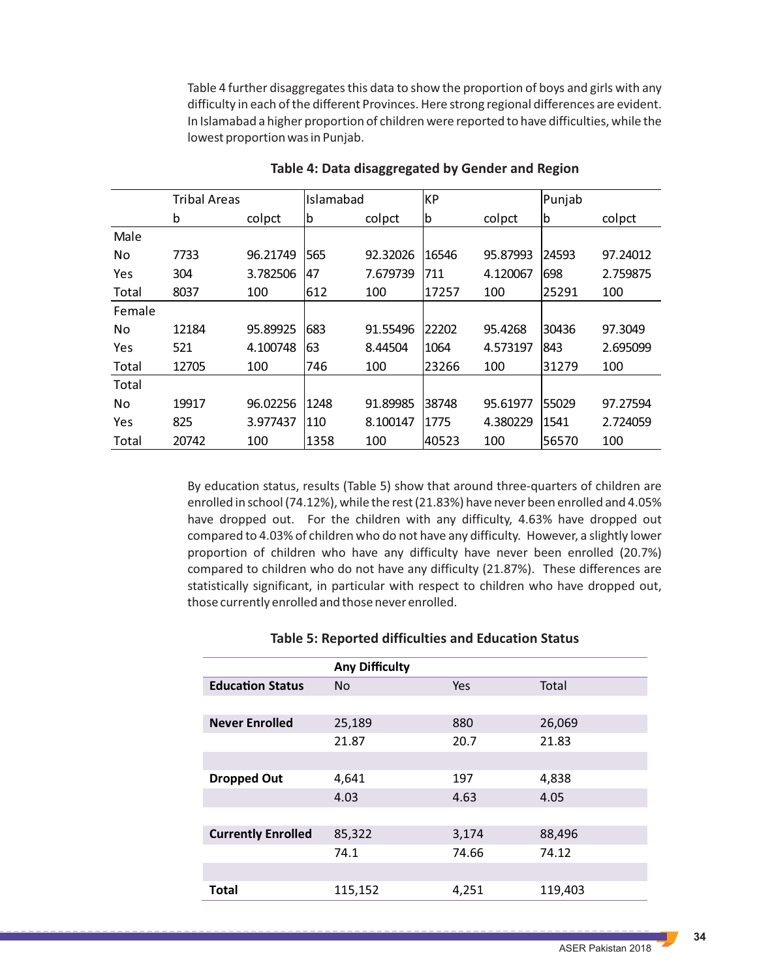Table 4 further disaggregates this data to show the proportion of boys and girls with any difficulty in each of the different Provinces. Here strong regional differences are evident. In Islamabad a higher proportion of children were reported to have difficulties, while the lowest proportion was in Punjab.

|        | <b>Tribal Areas</b> |          | Islamabad |          | <b>KP</b> |          | Punjab |          |
|--------|---------------------|----------|-----------|----------|-----------|----------|--------|----------|
|        | b                   | colpct   | lb        | colpct   | b         | colpct   | b      | colpct   |
| Male   |                     |          |           |          |           |          |        |          |
| No     | 7733                | 96.21749 | 565       | 92.32026 | 16546     | 95.87993 | 24593  | 97.24012 |
| Yes    | 304                 | 3.782506 | 47        | 7.679739 | 711       | 4.120067 | 698    | 2.759875 |
| Total  | 8037                | 100      | 612       | 100      | 17257     | 100      | 25291  | 100      |
| Female |                     |          |           |          |           |          |        |          |
| No     | 12184               | 95.89925 | 683       | 91.55496 | 22202     | 95.4268  | 30436  | 97.3049  |
| Yes    | 521                 | 4.100748 | 63        | 8.44504  | 1064      | 4.573197 | 1843   | 2.695099 |
| Total  | 12705               | 100      | 746       | 100      | 23266     | 100      | 31279  | 100      |
| Total  |                     |          |           |          |           |          |        |          |
| No     | 19917               | 96.02256 | 1248      | 91.89985 | 38748     | 95.61977 | 55029  | 97.27594 |
| Yes    | 825                 | 3.977437 | 110       | 8.100147 | 1775      | 4.380229 | 1541   | 2.724059 |
| Total  | 20742               | 100      | 1358      | 100      | 40523     | 100      | 56570  | 100      |

**Table 4: Data disaggregated by Gender and Region**

By education status, results (Table 5) show that around three-quarters of children are enrolled in school (74.12%), while the rest (21.83%) have never been enrolled and 4.05% have dropped out. For the children with any difficulty, 4.63% have dropped out compared to 4.03% of children who do not have any difficulty. However, a slightly lower proportion of children who have any difficulty have never been enrolled (20.7%) compared to children who do not have any difficulty (21.87%). These differences are statistically significant, in particular with respect to children who have dropped out, those currently enrolled and those never enrolled.

|                           | <b>Any Difficulty</b> |       |         |
|---------------------------|-----------------------|-------|---------|
| <b>Education Status</b>   | <b>No</b>             | Yes   | Total   |
|                           |                       |       |         |
| <b>Never Enrolled</b>     | 25,189                | 880   | 26,069  |
|                           | 21.87                 | 20.7  | 21.83   |
|                           |                       |       |         |
| <b>Dropped Out</b>        | 4,641                 | 197   | 4,838   |
|                           | 4.03                  | 4.63  | 4.05    |
|                           |                       |       |         |
| <b>Currently Enrolled</b> | 85,322                | 3,174 | 88,496  |
|                           | 74.1                  | 74.66 | 74.12   |
|                           |                       |       |         |
| <b>Total</b>              | 115,152               | 4,251 | 119,403 |

### **Table 5: Reported difficulties and Education Status**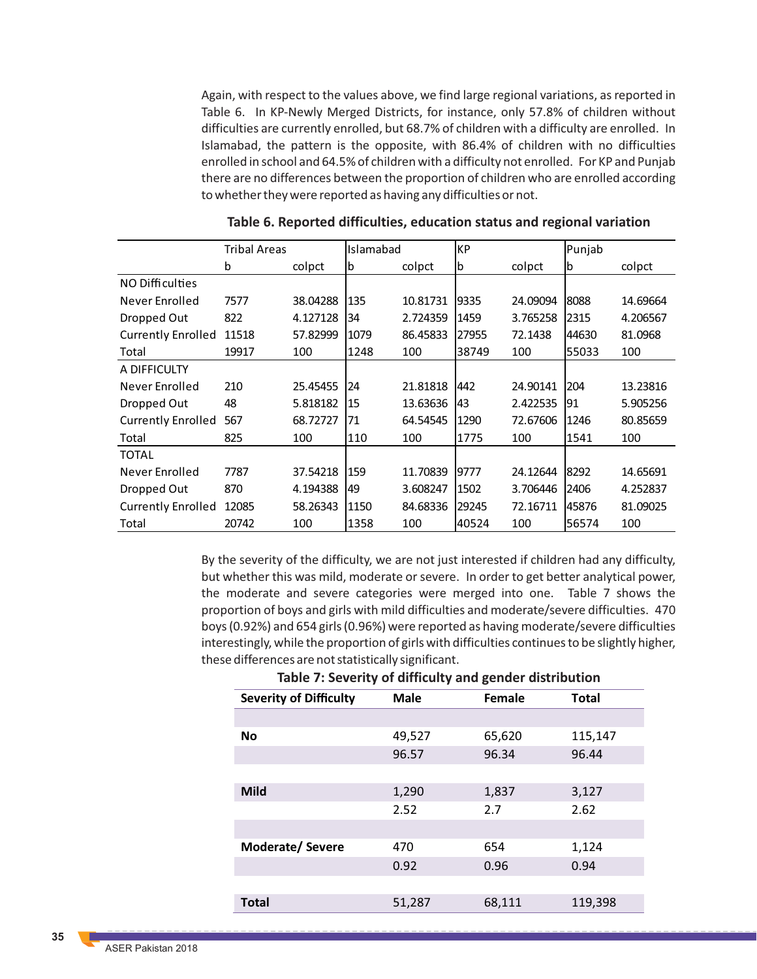Again, with respect to the values above, we find large regional variations, as reported in Table 6. In KP-Newly Merged Districts, for instance, only 57.8% of children without difficulties are currently enrolled, but 68.7% of children with a difficulty are enrolled. In Islamabad, the pattern is the opposite, with 86.4% of children with no difficulties enrolled in school and 64.5% of children with a difficulty not enrolled. For KP and Punjab there are no differences between the proportion of children who are enrolled according to whether they were reported as having any difficulties or not.

|                           | <b>Tribal Areas</b> |          | Islamabad |          | KP    |          | Punjab |          |
|---------------------------|---------------------|----------|-----------|----------|-------|----------|--------|----------|
|                           | b                   | colpct   | lb        | colpct   | b     | colpct   | lb     | colpct   |
| NO Difficulties           |                     |          |           |          |       |          |        |          |
| Never Enrolled            | 7577                | 38.04288 | 135       | 10.81731 | 9335  | 24.09094 | 18088  | 14.69664 |
| Dropped Out               | 822                 | 4.127128 | 34        | 2.724359 | 1459  | 3.765258 | 12315  | 4.206567 |
| <b>Currently Enrolled</b> | 11518               | 57.82999 | 1079      | 86.45833 | 27955 | 72.1438  | 144630 | 81.0968  |
| Total                     | 19917               | 100      | 1248      | 100      | 38749 | 100      | 55033  | 100      |
| A DIFFICULTY              |                     |          |           |          |       |          |        |          |
| Never Enrolled            | 210                 | 25.45455 | 24        | 21.81818 | 442   | 24.90141 | 1204   | 13.23816 |
| Dropped Out               | 48                  | 5.818182 | 15        | 13.63636 | 43    | 2.422535 | 191    | 5.905256 |
| <b>Currently Enrolled</b> | 567                 | 68.72727 | 71        | 64.54545 | 1290  | 72.67606 | 1246   | 80.85659 |
| Total                     | 825                 | 100      | 110       | 100      | 1775  | 100      | 1541   | 100      |
| <b>TOTAL</b>              |                     |          |           |          |       |          |        |          |
| Never Enrolled            | 7787                | 37.54218 | 159       | 11.70839 | 9777  | 24.12644 | 8292   | 14.65691 |
| Dropped Out               | 870                 | 4.194388 | 49        | 3.608247 | 1502  | 3.706446 | 12406  | 4.252837 |
| <b>Currently Enrolled</b> | 12085               | 58.26343 | 1150      | 84.68336 | 29245 | 72.16711 | 45876  | 81.09025 |
| Total                     | 20742               | 100      | 1358      | 100      | 40524 | 100      | 56574  | 100      |

**Table 6. Reported difficulties, education status and regional variation** 

By the severity of the difficulty, we are not just interested if children had any difficulty, but whether this was mild, moderate or severe. In order to get better analytical power, the moderate and severe categories were merged into one. Table 7 shows the proportion of boys and girls with mild difficulties and moderate/severe difficulties. 470 boys (0.92%) and 654 girls (0.96%) were reported as having moderate/severe difficulties interestingly, while the proportion of girls with difficulties continues to be slightly higher, these differences are not statistically significant.

| Table 7: Severity of difficulty and gender distribution |             |        |              |  |  |  |  |  |
|---------------------------------------------------------|-------------|--------|--------------|--|--|--|--|--|
| <b>Severity of Difficulty</b>                           | <b>Male</b> | Female | <b>Total</b> |  |  |  |  |  |
|                                                         |             |        |              |  |  |  |  |  |
| No                                                      | 49,527      | 65,620 | 115,147      |  |  |  |  |  |
|                                                         | 96.57       | 96.34  | 96.44        |  |  |  |  |  |
|                                                         |             |        |              |  |  |  |  |  |
| <b>Mild</b>                                             | 1,290       | 1,837  | 3,127        |  |  |  |  |  |
|                                                         | 2.52        | 2.7    | 2.62         |  |  |  |  |  |
|                                                         |             |        |              |  |  |  |  |  |
| <b>Moderate/Severe</b>                                  | 470         | 654    | 1,124        |  |  |  |  |  |
|                                                         | 0.92        | 0.96   | 0.94         |  |  |  |  |  |
|                                                         |             |        |              |  |  |  |  |  |
| <b>Total</b>                                            | 51,287      | 68,111 | 119,398      |  |  |  |  |  |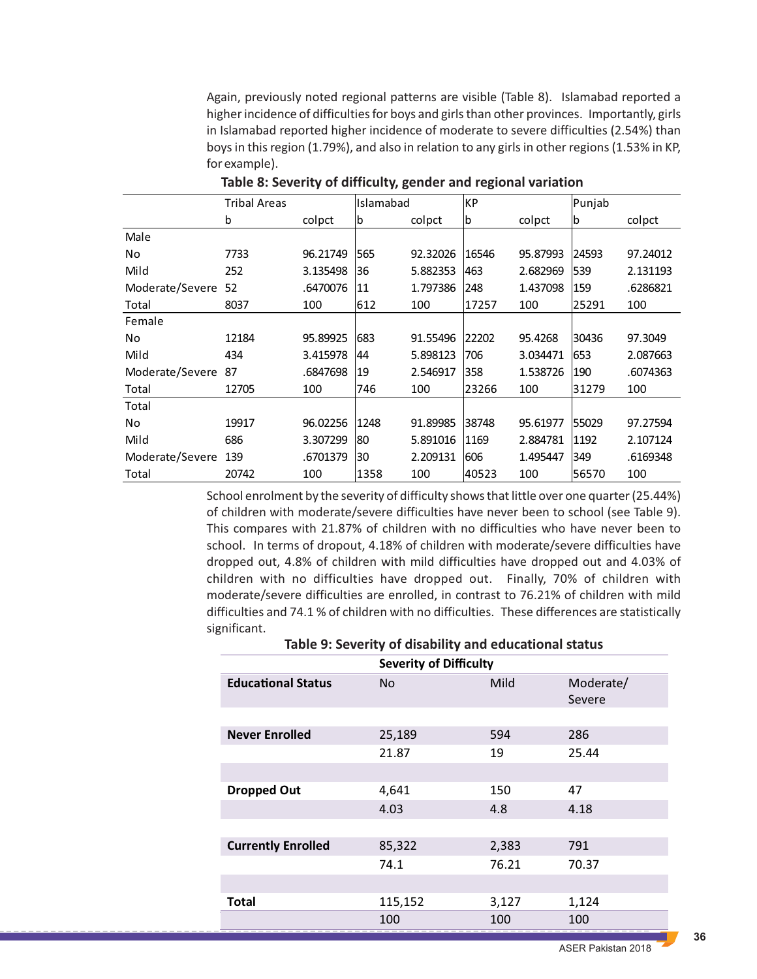Again, previously noted regional patterns are visible (Table 8). Islamabad reported a higher incidence of difficulties for boys and girls than other provinces. Importantly, girls in Islamabad reported higher incidence of moderate to severe difficulties (2.54%) than boys in this region (1.79%), and also in relation to any girls in other regions (1.53% in KP, for example).

|                 | Tribal Areas |          | Islamabad |          | КP          |          | Punjab |          |
|-----------------|--------------|----------|-----------|----------|-------------|----------|--------|----------|
|                 | b            | colpct   | b         | colpct   | $\mathsf b$ | colpct   | b      | colpct   |
| Male            |              |          |           |          |             |          |        |          |
| No              | 7733         | 96.21749 | 565       | 92.32026 | 16546       | 95.87993 | 24593  | 97.24012 |
| Mild            | 252          | 3.135498 | 36        | 5.882353 | 1463        | 2.682969 | 539    | 2.131193 |
| Moderate/Severe | 52           | .6470076 | 11        | 1.797386 | 248         | 1.437098 | 159    | .6286821 |
| Total           | 8037         | 100      | 612       | 100      | 17257       | 100      | 25291  | 100      |
| Female          |              |          |           |          |             |          |        |          |
| No              | 12184        | 95.89925 | 683       | 91.55496 | 22202       | 95.4268  | 30436  | 97.3049  |
| Mild            | 434          | 3.415978 | 44        | 5.898123 | 706         | 3.034471 | 653    | 2.087663 |
| Moderate/Severe | 87           | .6847698 | 19        | 2.546917 | 358         | 1.538726 | 190    | .6074363 |
| Total           | 12705        | 100      | 746       | 100      | 23266       | 100      | 31279  | 100      |
| Total           |              |          |           |          |             |          |        |          |
| No              | 19917        | 96.02256 | 1248      | 91.89985 | 38748       | 95.61977 | 55029  | 97.27594 |
| Mild            | 686          | 3.307299 | 80        | 5.891016 | 1169        | 2.884781 | 1192   | 2.107124 |
| Moderate/Severe | 139          | .6701379 | 30        | 2.209131 | 606         | 1.495447 | 349    | .6169348 |
| Total           | 20742        | 100      | 1358      | 100      | 40523       | 100      | 56570  | 100      |

**Table 8: Severity of difficulty, gender and regional variation**

School enrolment by the severity of difficulty shows that little over one quarter (25.44%) of children with moderate/severe difficulties have never been to school (see Table 9). This compares with 21.87% of children with no difficulties who have never been to school. In terms of dropout, 4.18% of children with moderate/severe difficulties have dropped out, 4.8% of children with mild difficulties have dropped out and 4.03% of children with no difficulties have dropped out. Finally, 70% of children with moderate/severe difficulties are enrolled, in contrast to 76.21% of children with mild difficulties and 74.1 % of children with no difficulties. These differences are statistically significant.

|                           |           | <b>Severity of Difficulty</b> |                     |  |  |  |  |  |
|---------------------------|-----------|-------------------------------|---------------------|--|--|--|--|--|
| <b>Educational Status</b> | <b>No</b> | Mild                          | Moderate/<br>Severe |  |  |  |  |  |
|                           |           |                               |                     |  |  |  |  |  |
| <b>Never Enrolled</b>     | 25,189    | 594                           | 286                 |  |  |  |  |  |
|                           | 21.87     | 19                            | 25.44               |  |  |  |  |  |
|                           |           |                               |                     |  |  |  |  |  |
| <b>Dropped Out</b>        | 4,641     | 150                           | 47                  |  |  |  |  |  |
|                           | 4.03      | 4.8                           | 4.18                |  |  |  |  |  |
|                           |           |                               |                     |  |  |  |  |  |
| <b>Currently Enrolled</b> | 85,322    | 2,383                         | 791                 |  |  |  |  |  |
|                           | 74.1      | 76.21                         | 70.37               |  |  |  |  |  |
|                           |           |                               |                     |  |  |  |  |  |
| Total                     | 115,152   | 3,127                         | 1,124               |  |  |  |  |  |
|                           | 100       | 100                           | 100                 |  |  |  |  |  |

**Table 9: Severity of disability and educational status**